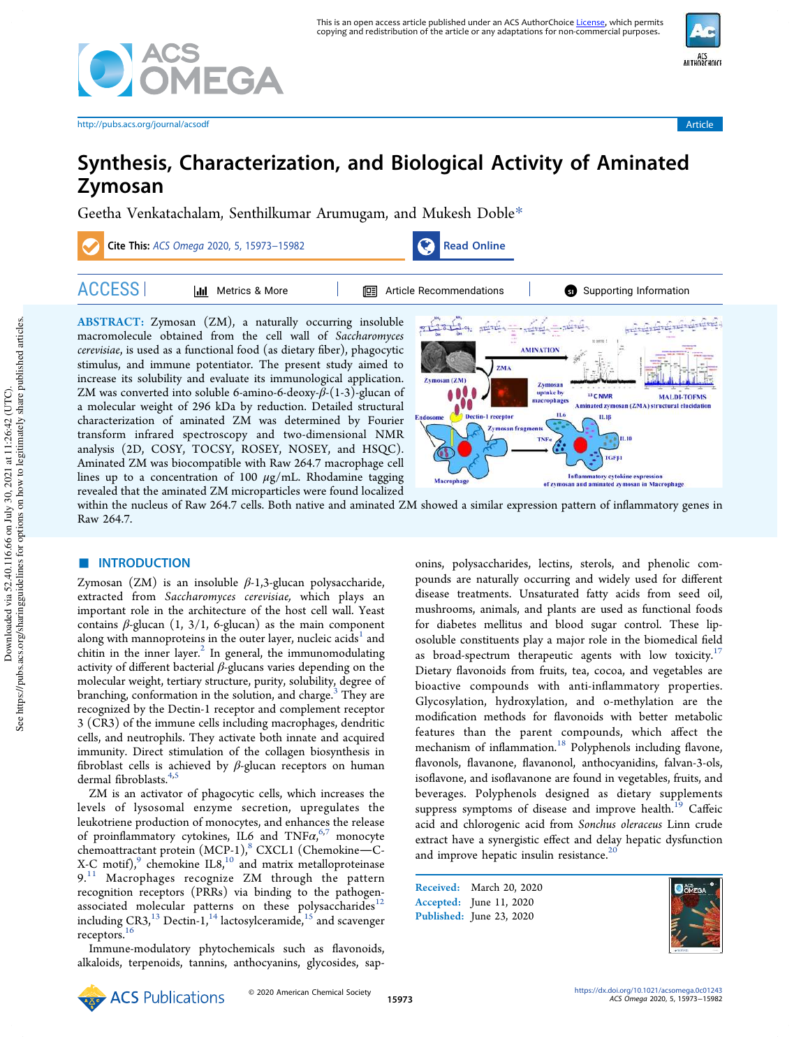



http://pubs.acs.org/journal/acsodf Article

# Synthesis, Characterization, and Biological Activity of Aminated Zymosan

Geetha Venkatachalam, Senthilkumar Arumugam, and Mukesh Doble\*



within the nucleus of Raw 264.7 cells. Both native and aminated ZM showed a similar expression pattern of inflammatory genes in Raw 264.7.

## ■ **INTRODUCTION**

Zymosan  $(ZM)$  is an insoluble  $\beta$ -1,3-glucan polysaccharide, extracted from Saccharomyces cerevisiae, which plays an important role in the architecture of the host cell wall. Yeast contains  $\beta$ -glucan (1, 3/1, 6-glucan) as the main component along with mannoproteins in the outer layer, nucleic acids<sup>1</sup> and chitin in the inner layer. $^2$  In general, the immunomodulating activity of different bacterial  $\beta$ -glucans varies depending on the molecular weight, tertiary structure, purity, solubility, degree of branching, conformation in the solution, and charge. $3$  They are recognized by the Dectin-1 receptor and complement receptor 3 (CR3) of the immune cells including macrophages, dendritic cells, and neutrophils. They activate both innate and acquired immunity. Direct stimulation of the collagen biosynthesis in fibroblast cells is achieved by  $\beta$ -glucan receptors on human dermal fibroblasts.<sup>4,5</sup>

ZM is an activator of phagocytic cells, which increases the levels of lysosomal enzyme secretion, upregulates the leukotriene production of monocytes, and enhances the release of proinflammatory cytokines, IL6 and  $\text{TNF}\alpha,^{6,7}$  monocyte chemoattractant protein (MCP-1),<sup>8</sup> CXCL1 (Chemokine-C-X-C motif), $\degree$  chemokine IL8, $\degree$  and matrix metalloproteinase  $9.11$  Macrophages recognize ZM through the pattern recognition receptors (PRRs) via binding to the pathogenassociated molecular patterns on these polysaccharides $12$ including  $CR3<sub>i</sub><sup>13</sup>$  Dectin-1<sub>1</sub><sup>14</sup> lactosylceramide,<sup>15</sup> and scavenger receptors.<sup>16</sup>

Immune-modulatory phytochemicals such as flavonoids, alkaloids, terpenoids, tannins, anthocyanins, glycosides, sap-

onins, polysaccharides, lectins, sterols, and phenolic compounds are naturally occurring and widely used for different disease treatments. Unsaturated fatty acids from seed oil, mushrooms, animals, and plants are used as functional foods for diabetes mellitus and blood sugar control. These liposoluble constituents play a major role in the biomedical field as broad-spectrum therapeutic agents with low toxicity.<sup>17</sup> Dietary flavonoids from fruits, tea, cocoa, and vegetables are bioactive compounds with anti-inflammatory properties. Glycosylation, hydroxylation, and o-methylation are the modification methods for flavonoids with better metabolic features than the parent compounds, which affect the mechanism of inflammation.<sup>18</sup> Polyphenols including flavone, flavonols, flavanone, flavanonol, anthocyanidins, falvan-3-ols, isoflavone, and isoflavanone are found in vegetables, fruits, and beverages. Polyphenols designed as dietary supplements suppress symptoms of disease and improve health.<sup>19</sup> Caffeic acid and chlorogenic acid from Sonchus oleraceus Linn crude extract have a synergistic effect and delay hepatic dysfunction and improve hepatic insulin resistance. $20$ 

Received: March 20, 2020 Accepted: June 11, 2020 Published: June 23, 2020

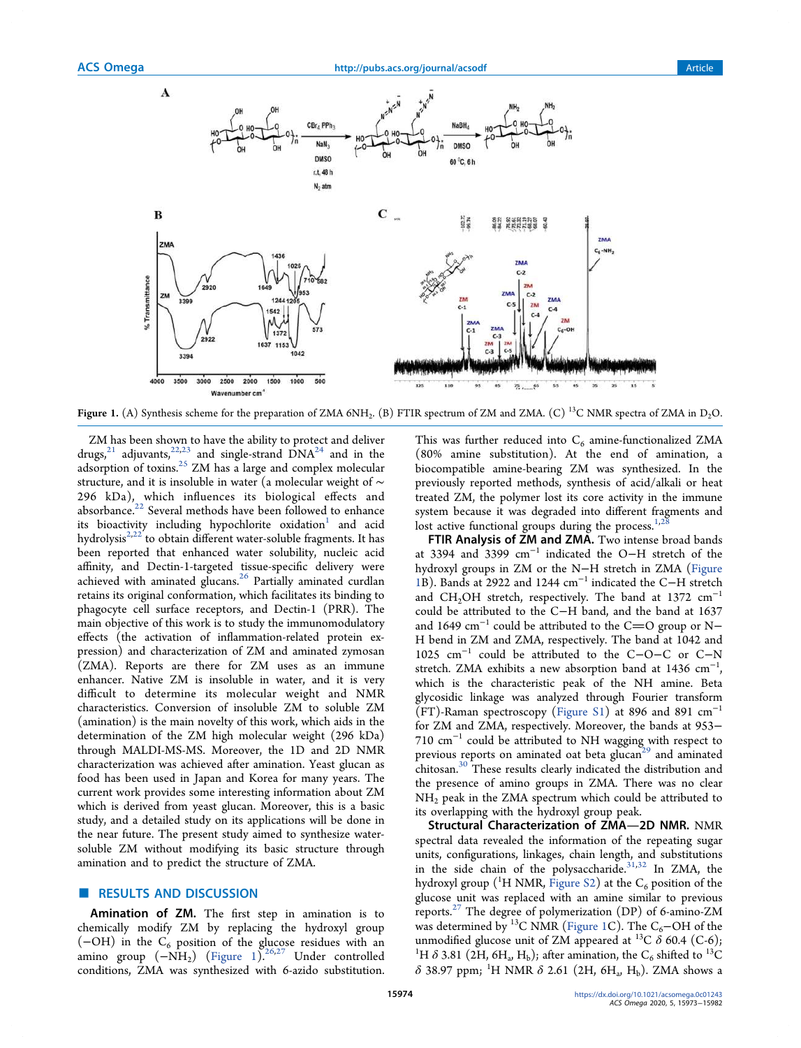

Figure 1. (A) Synthesis scheme for the preparation of ZMA 6NH<sub>2</sub>. (B) FTIR spectrum of ZM and ZMA. (C) <sup>13</sup>C NMR spectra of ZMA in D<sub>2</sub>O.

ZM has been shown to have the ability to protect and deliver drugs,<sup>21</sup> adjuvants,<sup>22,23</sup> and single-strand  $\text{DNA}^{24}$  and in the adsorption of toxins.<sup>25</sup> ZM has a large and complex molecular structure, and it is insoluble in water (a molecular weight of ∼ 296 kDa), which influences its biological effects and absorbance. $^{22}$  Several methods have been followed to enhance its bioactivity including hypochlorite oxidation $^{\rm l}$  and acid hydrolysis<sup>2,22</sup>to obtain different water-soluble fragments. It has been reported that enhanced water solubility, nucleic acid affinity, and Dectin-1-targeted tissue-specific delivery were achieved with aminated glucans.<sup>26</sup> Partially aminated curdlan retains its original conformation, which facilitates its binding to phagocyte cell surface receptors, and Dectin-1 (PRR). The main objective of this work is to study the immunomodulatory effects (the activation of inflammation-related protein expression) and characterization of ZM and aminated zymosan (ZMA). Reports are there for ZM uses as an immune enhancer. Native ZM is insoluble in water, and it is very difficult to determine its molecular weight and NMR characteristics. Conversion of insoluble ZM to soluble ZM (amination) is the main novelty of this work, which aids in the determination of the ZM high molecular weight (296 kDa) through MALDI-MS-MS. Moreover, the 1D and 2D NMR characterization was achieved after amination. Yeast glucan as food has been used in Japan and Korea for many years. The current work provides some interesting information about ZM which is derived from yeast glucan. Moreover, this is a basic study, and a detailed study on its applications will be done in the near future. The present study aimed to synthesize watersoluble ZM without modifying its basic structure through amination and to predict the structure of ZMA.

#### **RESULTS AND DISCUSSION**

Amination of ZM. The first step in amination is to chemically modify ZM by replacing the hydroxyl group  $(-OH)$  in the C<sub>6</sub> position of the glucose residues with an amino group  $(-NH<sub>2</sub>)$  (Figure 1).<sup>26,27</sup> Under controlled conditions, ZMA was synthesized with 6-azido substitution.

This was further reduced into  $C_6$  amine-functionalized ZMA (80% amine substitution). At the end of amination, a biocompatible amine-bearing ZM was synthesized. In the previously reported methods, synthesis of acid/alkali or heat treated ZM, the polymer lost its core activity in the immune system because it was degraded into different fragments and lost active functional groups during the process. $1/2$ 

FTIR Analysis of ZM and ZMA. Two intense broad bands at 3394 and 3399 cm<sup>−</sup><sup>1</sup> indicated the O−H stretch of the hydroxyl groups in ZM or the N−H stretch in ZMA (Figure 1B). Bands at 2922 and 1244 cm<sup>−</sup><sup>1</sup> indicated the C−H stretch and CH<sub>2</sub>OH stretch, respectively. The band at 1372 cm<sup>-1</sup> could be attributed to the C−H band, and the band at 1637 and 1649  $\text{cm}^{-1}$  could be attributed to the C=O group or N− H bend in ZM and ZMA, respectively. The band at 1042 and 1025 cm<sup>−</sup><sup>1</sup> could be attributed to the C−O−C or C−N stretch. ZMA exhibits a new absorption band at  $1436 \text{ cm}^{-1}$ , which is the characteristic peak of the NH amine. Beta glycosidic linkage was analyzed through Fourier transform (FT)-Raman spectroscopy (Figure S1) at 896 and 891 cm<sup>−</sup><sup>1</sup> for ZM and ZMA, respectively. Moreover, the bands at 953− 710 cm<sup>−</sup><sup>1</sup> could be attributed to NH wagging with respect to previous reports on aminated oat beta glucan<sup>29</sup> and aminated chitosan.<sup>30</sup> These results clearly indicated the distribution and the presence of amino groups in ZMA. There was no clear  $NH<sub>2</sub>$  peak in the ZMA spectrum which could be attributed to its overlapping with the hydroxyl group peak.

Structural Characterization of ZMA-2D NMR. NMR spectral data revealed the information of the repeating sugar units, configurations, linkages, chain length, and substitutions in the side chain of the polysaccharide. $31,32$  In ZMA, the hydroxyl group (<sup>1</sup>H NMR, Figure S2) at the  $C_6$  position of the glucose unit was replaced with an amine similar to previous reports.<sup>27</sup> The degree of polymerization (DP) of 6-amino-ZM was determined by <sup>13</sup>C NMR (Figure 1C). The C<sub>6</sub>−OH of the unmodified glucose unit of ZM appeared at <sup>13</sup>C  $\delta$  60.4 (C-6); <sup>1</sup>H  $\delta$  3.81 (2H, 6H<sub>a</sub>, H<sub>b</sub>); after amination, the C<sub>6</sub> shifted to <sup>13</sup>C  $\delta$  38.97 ppm; <sup>1</sup>H NMR  $\delta$  2.61 (2H, 6H<sub>a</sub>, H<sub>b</sub>). ZMA shows a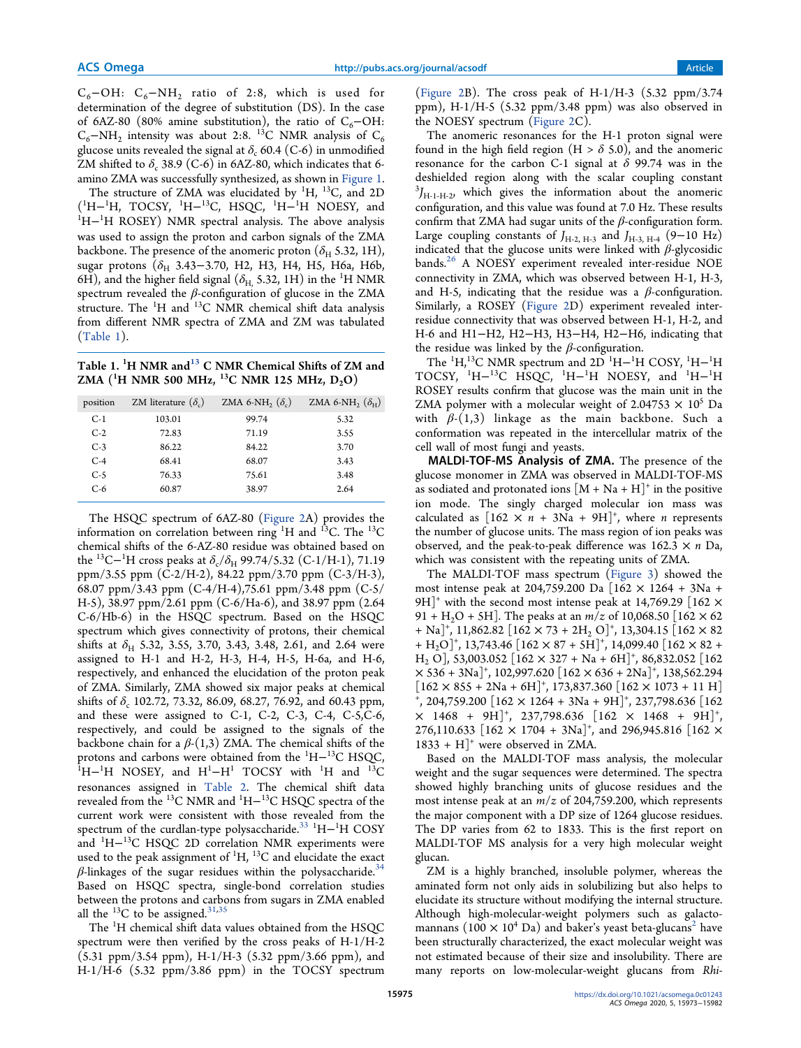$C_6$ -OH:  $C_6$ -NH<sub>2</sub> ratio of 2:8, which is used for determination of the degree of substitution (DS). In the case of 6AZ-80 (80% amine substitution), the ratio of  $C_6$ −OH:  $C_6$ −NH<sub>2</sub> intensity was about 2:8. <sup>13</sup>C NMR analysis of  $C_6$ glucose units revealed the signal at  $\delta_c$  60.4 (C-6) in unmodified ZM shifted to  $\delta_c$  38.9 (C-6) in 6AZ-80, which indicates that 6amino ZMA was successfully synthesized, as shown in Figure 1.

The structure of ZMA was elucidated by  ${}^{1}H$ ,  ${}^{13}C$ , and 2D  $(^{1}H-^{1}H, TOCSY, {}^{1}H-^{13}C, HSQC, {}^{1}H-^{1}H, NOESY, and$ <sup>1</sup>H<sup>-1</sup>H ROSEY) NMR spectral analysis. The above analysis was used to assign the proton and carbon signals of the ZMA backbone. The presence of the anomeric proton ( $\delta_H$  5.32, 1H), sugar protons ( $\delta$ <sub>H</sub> 3.43–3.70, H2, H3, H4, H5, H6a, H6b, 6H), and the higher field signal ( $\delta_{\rm H}$ , 5.32, 1H) in the <sup>1</sup>H NMR spectrum revealed the  $\beta$ -configuration of glucose in the ZMA structure. The <sup>1</sup>H and <sup>13</sup>C NMR chemical shift data analysis from different NMR spectra of ZMA and ZM was tabulated (Table 1).

Table 1. <sup>1</sup>H NMR and<sup>13</sup> C NMR Chemical Shifts of ZM and ZMA (<sup>1</sup>H NMR 500 MHz, <sup>13</sup>C NMR 125 MHz,  $D_2O$ )

| position | ZM literature $(\delta_c)$ | ZMA 6-NH <sub>2</sub> $(\delta_c)$ | ZMA 6-NH <sub>2</sub> $(\delta_{H})$ |
|----------|----------------------------|------------------------------------|--------------------------------------|
| $C-1$    | 103.01                     | 99.74                              | 5.32                                 |
| $C-2$    | 72.83                      | 71.19                              | 3.55                                 |
| $C-3$    | 86.22                      | 84.22                              | 3.70                                 |
| $C-4$    | 68.41                      | 68.07                              | 3.43                                 |
| $C-5$    | 76.33                      | 75.61                              | 3.48                                 |
| $C-6$    | 60.87                      | 38.97                              | 2.64                                 |

The HSQC spectrum of 6AZ-80 (Figure 2A) provides the information on correlation between ring  ${}^{1}H$  and  ${}^{13}C$ . The  ${}^{13}C$ chemical shifts of the 6-AZ-80 residue was obtained based on the <sup>13</sup>C−<sup>1</sup>H cross peaks at  $\delta_{\rm c}/\delta_{\rm H}$  99.74/5.32 (C-1/H-1), 71.19 ppm/3.55 ppm (C-2/H-2), 84.22 ppm/3.70 ppm (C-3/H-3), 68.07 ppm/3.43 ppm (C-4/H-4),75.61 ppm/3.48 ppm (C-5/ H-5), 38.97 ppm/2.61 ppm (C-6/Ha-6), and 38.97 ppm (2.64 C-6/Hb-6) in the HSQC spectrum. Based on the HSQC spectrum which gives connectivity of protons, their chemical shifts at  $\delta_H$  5.32, 3.55, 3.70, 3.43, 3.48, 2.61, and 2.64 were assigned to H-1 and H-2, H-3, H-4, H-5, H-6a, and H-6, respectively, and enhanced the elucidation of the proton peak of ZMA. Similarly, ZMA showed six major peaks at chemical shifts of  $\delta_c$  102.72, 73.32, 86.09, 68.27, 76.92, and 60.43 ppm, and these were assigned to C-1, C-2, C-3, C-4, C-5,C-6, respectively, and could be assigned to the signals of the backbone chain for a  $\beta$ -(1,3) ZMA. The chemical shifts of the protons and carbons were obtained from the <sup>1</sup>H<sup>-13</sup>C HSQC,  ${}^{1}H-{}^{1}H$  NOSEY, and  $H^{1}-H^{1}$  TOCSY with  ${}^{1}H$  and  ${}^{13}C$ resonances assigned in Table 2. The chemical shift data revealed from the <sup>13</sup>C NMR and <sup>1</sup>H−<sup>13</sup>C HSQC spectra of the current work were consistent with those revealed from the spectrum of the curdlan-type polysaccharide.<sup>33</sup> <sup>1</sup>H−<sup>1</sup>H COSY and <sup>1</sup>H− <sup>13</sup>C HSQC 2D correlation NMR experiments were used to the peak assignment of  ${}^{1}H$ ,  ${}^{13}C$  and elucidate the exact  $\beta$ -linkages of the sugar residues within the polysaccharide.<sup>34</sup> Based on HSQC spectra, single-bond correlation studies between the protons and carbons from sugars in ZMA enabled all the  $^{13}$ C to be assigned.<sup>31,35</sup>

The <sup>1</sup>H chemical shift data values obtained from the HSQC spectrum were then verified by the cross peaks of H-1/H-2 (5.31 ppm/3.54 ppm), H-1/H-3 (5.32 ppm/3.66 ppm), and H-1/H-6 (5.32 ppm/3.86 ppm) in the TOCSY spectrum

(Figure 2B). The cross peak of H-1/H-3  $(5.32 \text{ ppm}/3.74)$ ppm), H-1/H-5 (5.32 ppm/3.48 ppm) was also observed in the NOESY spectrum (Figure 2C).

The anomeric resonances for the H-1 proton signal were found in the high field region (H  $> \delta$  5.0), and the anomeric resonance for the carbon C-1 signal at  $\delta$  99.74 was in the deshielded region along with the scalar coupling constant  ${}^{3}J_{\text{H-1-H-2}}$ , which gives the information about the anomeric configuration, and this value was found at 7.0 Hz. These results confirm that ZMA had sugar units of the  $\beta$ -configuration form. Large coupling constants of  $J_{H-2,H-3}$  and  $J_{H-3,H-4}$  (9–10 Hz) indicated that the glucose units were linked with  $\beta$ -glycosidic bands.<sup>26</sup> A NOESY experiment revealed inter-residue NOE connectivity in ZMA, which was observed between H-1, H-3, and H-5, indicating that the residue was a  $\beta$ -configuration. Similarly, a ROSEY (Figure 2D) experiment revealed interresidue connectivity that was observed between H-1, H-2, and H-6 and H1−H2, H2−H3, H3−H4, H2−H6, indicating that the residue was linked by the  $\beta$ -configuration.

The  ${}^{1}H,{}^{13}C$  NMR spectrum and 2D  ${}^{1}H-{}^{1}H$  COSY,  ${}^{1}H-{}^{1}H$ TOCSY,  ${}^{1}H-{}^{13}C$  HSQC,  ${}^{1}H-{}^{1}H$  NOESY, and  ${}^{1}H-{}^{1}H$ ROSEY results confirm that glucose was the main unit in the ZMA polymer with a molecular weight of 2.04753  $\times$  10<sup>5</sup> Da with  $\beta$ -(1,3) linkage as the main backbone. Such a conformation was repeated in the intercellular matrix of the cell wall of most fungi and yeasts.

MALDI-TOF-MS Analysis of ZMA. The presence of the glucose monomer in ZMA was observed in MALDI-TOF-MS as sodiated and protonated ions  $[M + Na + H]^{+}$  in the positive ion mode. The singly charged molecular ion mass was calculated as  $[162 \times n + 3Na + 9H]^+$ , where *n* represents the number of glucose units. The mass region of ion peaks was observed, and the peak-to-peak difference was  $162.3 \times n$  Da, which was consistent with the repeating units of ZMA.

The MALDI-TOF mass spectrum (Figure 3) showed the most intense peak at 204,759.200 Da [162 × 1264 + 3Na + 9H<sup>+</sup> with the second most intense peak at 14,769.29 [162  $\times$ 91 + H<sub>2</sub>O + 5H]. The peaks at an  $m/z$  of 10,068.50 [162  $\times$  62] + Na]<sup>+</sup>, 11,862.82 [162 × 73 + 2H<sub>2</sub> O]<sup>+</sup>, 13,304.15 [162 × 82 + H<sub>2</sub>O]<sup>+</sup>, 13,743.46 [162 × 87 + 5H]<sup>+</sup>, 14,099.40 [162 × 82 +  $H_2$  O], 53,003.052 [162  $\times$  327 + Na + 6H]<sup>+</sup>, 86,832.052 [162  $\times$  536 + 3Na]<sup>+</sup>, 102,997.620 [162  $\times$  636 + 2Na]<sup>+</sup>, 138,562.294  $[162 \times 855 + 2Na + 6H]^+$ , 173,837.360  $[162 \times 1073 + 11H]$ <sup>+</sup>, 204,759.200  $[162 \times 1264 + 3Na + 9H]^+$ , 237,798.636  $[162$  $\times$  1468 + 9H]<sup>+</sup>, 237,798.636 [162  $\times$  1468 + 9H]<sup>+</sup>, 276,110.633  $[162 \times 1704 + 3Na]^+$ , and 296,945.816  $[162 \times$  $1833 + H$ <sup>+</sup> were observed in ZMA.

Based on the MALDI-TOF mass analysis, the molecular weight and the sugar sequences were determined. The spectra showed highly branching units of glucose residues and the most intense peak at an  $m/z$  of 204,759.200, which represents the major component with a DP size of 1264 glucose residues. The DP varies from 62 to 1833. This is the first report on MALDI-TOF MS analysis for a very high molecular weight glucan.

ZM is a highly branched, insoluble polymer, whereas the aminated form not only aids in solubilizing but also helps to elucidate its structure without modifying the internal structure. Although high-molecular-weight polymers such as galactomannans  $(100 \times 10^4 \text{ Da})$  and baker's yeast beta-glucans<sup>2</sup> have been structurally characterized, the exact molecular weight was not estimated because of their size and insolubility. There are many reports on low-molecular-weight glucans from Rhi-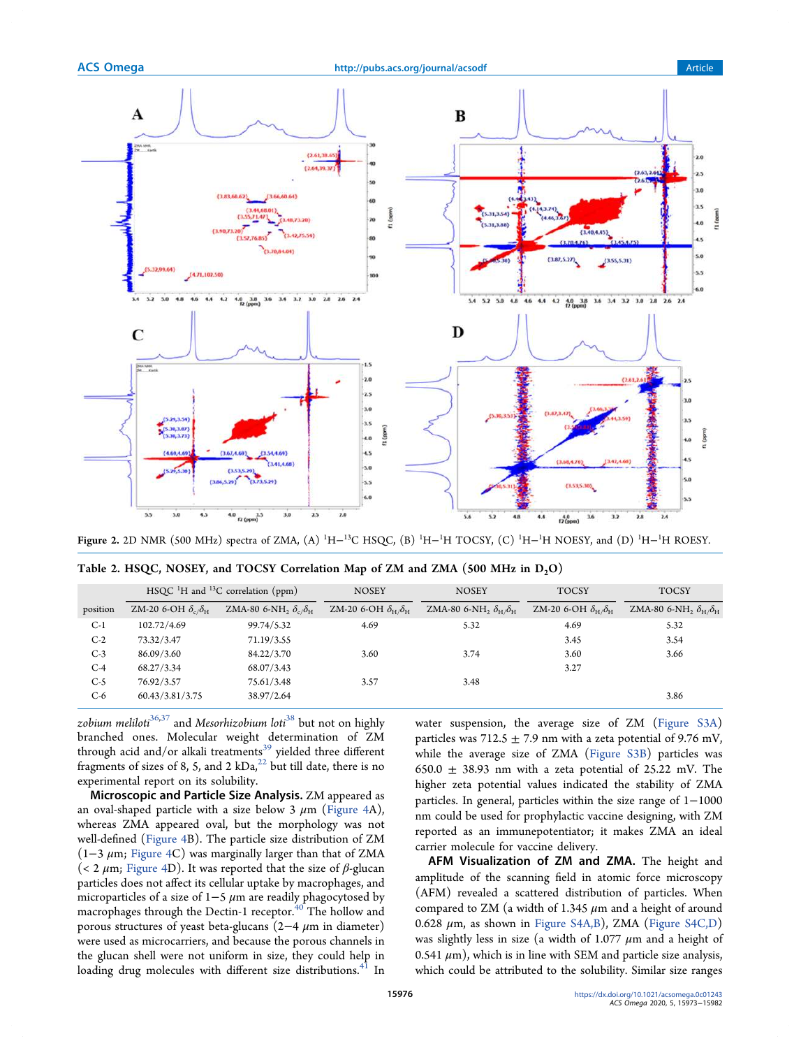

Figure 2. 2D NMR (500 MHz) spectra of ZMA, (A) <sup>1</sup>H−<sup>13</sup>C HSQC, (B) <sup>1</sup>H−<sup>1</sup>H TOCSY, (C) <sup>1</sup>H−<sup>1</sup>H NOESY, and (D) <sup>1</sup>H−<sup>1</sup>H ROESY.

|          |                                      | $HSQC$ <sup>1</sup> H and <sup>13</sup> C correlation (ppm) | <b>NOSEY</b>                               | <b>NOSEY</b>                                 | <b>TOCSY</b>                               | <b>TOCSY</b>                                             |
|----------|--------------------------------------|-------------------------------------------------------------|--------------------------------------------|----------------------------------------------|--------------------------------------------|----------------------------------------------------------|
| position | ZM-20 6-OH $\delta_c/\delta_{\rm H}$ | ZMA-80 6-NH <sub>2</sub> $\delta_c/\delta_H$                | ZM-20 6-OH $\delta_{\rm H}/\delta_{\rm H}$ | ZMA-80 6-NH, $\delta_{\rm H}/\delta_{\rm H}$ | ZM-20 6-OH $\delta_{\rm H}/\delta_{\rm H}$ | ZMA-80 6-NH <sub>2</sub> $\delta_{\rm H}/\delta_{\rm H}$ |
| $C-1$    | 102.72/4.69                          | 99.74/5.32                                                  | 4.69                                       | 5.32                                         | 4.69                                       | 5.32                                                     |
| $C-2$    | 73.32/3.47                           | 71.19/3.55                                                  |                                            |                                              | 3.45                                       | 3.54                                                     |
| $C-3$    | 86.09/3.60                           | 84.22/3.70                                                  | 3.60                                       | 3.74                                         | 3.60                                       | 3.66                                                     |
| $C-4$    | 68.27/3.34                           | 68.07/3.43                                                  |                                            |                                              | 3.27                                       |                                                          |
| $C-5$    | 76.92/3.57                           | 75.61/3.48                                                  | 3.57                                       | 3.48                                         |                                            |                                                          |
| $C-6$    | 60.43/3.81/3.75                      | 38.97/2.64                                                  |                                            |                                              |                                            | 3.86                                                     |

| Table 2. HSQC, NOSEY, and TOCSY Correlation Map of ZM and ZMA (500 MHz in $D_2O$ ) |  |  |
|------------------------------------------------------------------------------------|--|--|
|------------------------------------------------------------------------------------|--|--|

zobium meliloti $36,37$  and Mesorhizobium loti $38$  but not on highly branched ones. Molecular weight determination of ZM through acid and/or alkali treatments<sup>39</sup> yielded three different fragments of sizes of 8, 5, and 2  $kDa$ ,<sup>22</sup> but till date, there is no experimental report on its solubility.

Microscopic and Particle Size Analysis. ZM appeared as an oval-shaped particle with a size below 3  $\mu$ m (Figure 4A), whereas ZMA appeared oval, but the morphology was not well-defined (Figure 4B). The particle size distribution of ZM  $(1-3 \mu m;$  Figure 4C) was marginally larger than that of ZMA (< 2  $\mu$ m; Figure 4D). It was reported that the size of  $\beta$ -glucan particles does not affect its cellular uptake by macrophages, and microparticles of a size of  $1-5 \mu m$  are readily phagocytosed by macrophages through the Dectin-1 receptor. $40$  The hollow and porous structures of yeast beta-glucans  $(2-4 \mu m)$  in diameter) were used as microcarriers, and because the porous channels in the glucan shell were not uniform in size, they could help in loading drug molecules with different size distributions.<sup>41</sup> In

water suspension, the average size of ZM (Figure S3A) particles was 712.5  $\pm$  7.9 nm with a zeta potential of 9.76 mV, while the average size of ZMA (Figure S3B) particles was 650.0  $\pm$  38.93 nm with a zeta potential of 25.22 mV. The higher zeta potential values indicated the stability of ZMA particles. In general, particles within the size range of 1−1000 nm could be used for prophylactic vaccine designing, with ZM reported as an immunepotentiator; it makes ZMA an ideal carrier molecule for vaccine delivery.

AFM Visualization of ZM and ZMA. The height and amplitude of the scanning field in atomic force microscopy (AFM) revealed a scattered distribution of particles. When compared to ZM (a width of 1.345  $\mu$ m and a height of around 0.628 μm, as shown in Figure S4A,B), ZMA (Figure S4C,D) was slightly less in size (a width of 1.077  $\mu$ m and a height of 0.541  $\mu$ m), which is in line with SEM and particle size analysis, which could be attributed to the solubility. Similar size ranges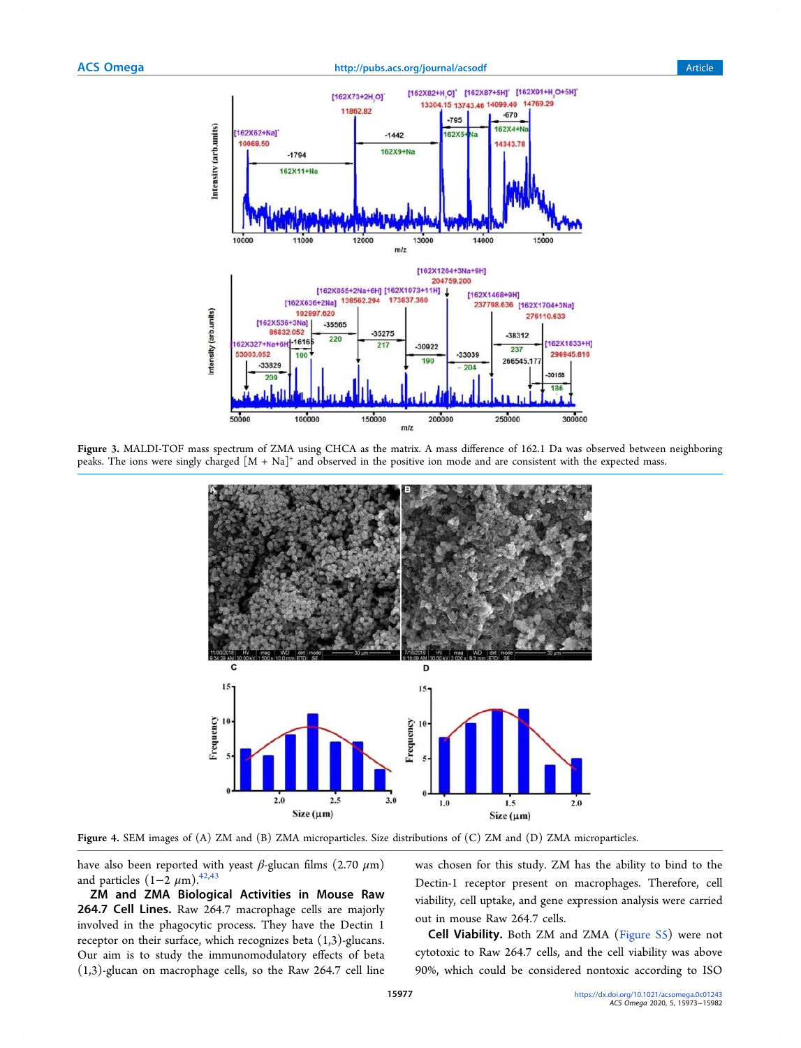## ACS Omega **http://pubs.acs.org/journal/acsodf** Article Article



Figure 3. MALDI-TOF mass spectrum of ZMA using CHCA as the matrix. A mass difference of 162.1 Da was observed between neighboring peaks. The ions were singly charged  $[M + Na]^+$  and observed in the positive ion mode and are consistent with the expected mass.



Figure 4. SEM images of (A) ZM and (B) ZMA microparticles. Size distributions of (C) ZM and (D) ZMA microparticles.

have also been reported with yeast  $\beta$ -glucan films (2.70  $\mu$ m) and particles  $(1-\overline{2} \ \mu \text{m})$ .<sup>42,43</sup>

ZM and ZMA Biological Activities in Mouse Raw 264.7 Cell Lines. Raw 264.7 macrophage cells are majorly involved in the phagocytic process. They have the Dectin 1 receptor on their surface, which recognizes beta (1,3)-glucans. Our aim is to study the immunomodulatory effects of beta (1,3)-glucan on macrophage cells, so the Raw 264.7 cell line

was chosen for this study. ZM has the ability to bind to the Dectin-1 receptor present on macrophages. Therefore, cell viability, cell uptake, and gene expression analysis were carried out in mouse Raw 264.7 cells.

Cell Viability. Both ZM and ZMA (Figure S5) were not cytotoxic to Raw 264.7 cells, and the cell viability was above 90%, which could be considered nontoxic according to ISO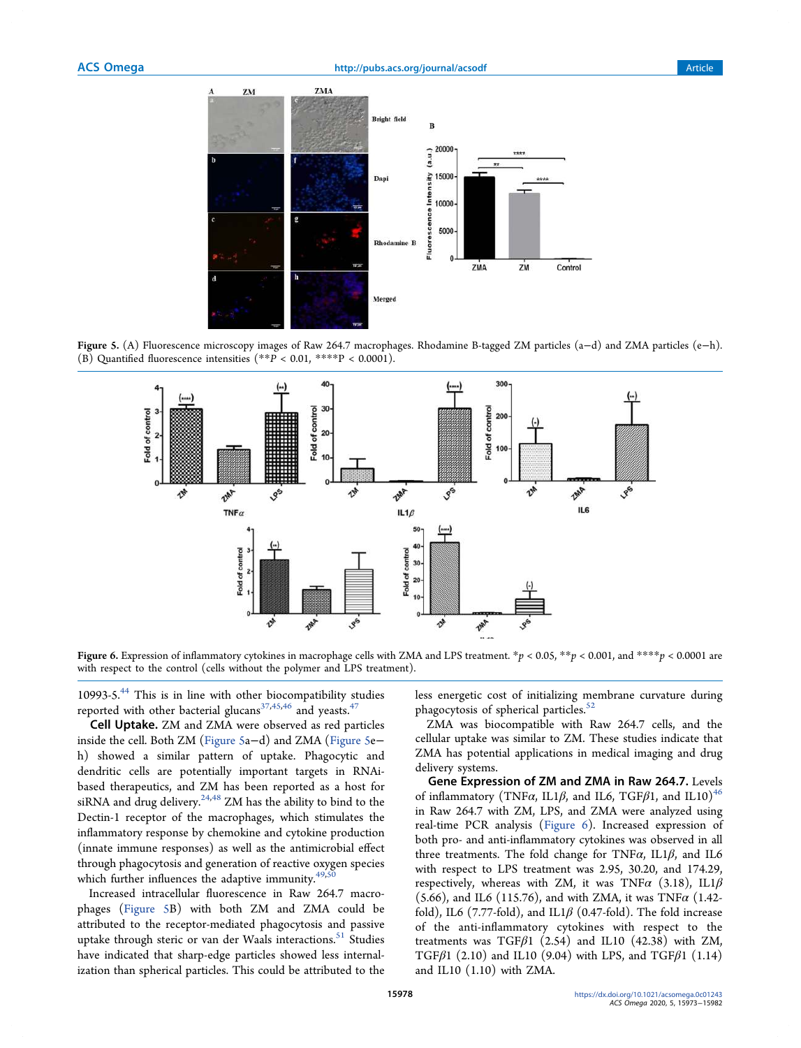

Figure 5. (A) Fluorescence microscopy images of Raw 264.7 macrophages. Rhodamine B-tagged ZM particles (a−d) and ZMA particles (e−h). (B) Quantified fluorescence intensities  $(*p \times 0.01, ***p \times 0.0001)$ .



Figure 6. Expression of inflammatory cytokines in macrophage cells with ZMA and LPS treatment.  $*p < 0.05$ ,  $**p < 0.001$ , and  $***p < 0.0001$  are with respect to the control (cells without the polymer and LPS treatment).

10993-5.<sup>44</sup> This is in line with other biocompatibility studies reported with other bacterial glucans<sup>37,45,46</sup> and yeasts.<sup>47</sup>

Cell Uptake. ZM and ZMA were observed as red particles inside the cell. Both ZM (Figure 5a−d) and ZMA (Figure 5e− h) showed a similar pattern of uptake. Phagocytic and dendritic cells are potentially important targets in RNAibased therapeutics, and ZM has been reported as a host for siRNA and drug delivery.<sup>24,48</sup> ZM has the ability to bind to the Dectin-1 receptor of the macrophages, which stimulates the inflammatory response by chemokine and cytokine production (innate immune responses) as well as the antimicrobial effect through phagocytosis and generation of reactive oxygen species which further influences the adaptive immunity. $49$ ,

Increased intracellular fluorescence in Raw 264.7 macrophages (Figure 5B) with both ZM and ZMA could be attributed to the receptor-mediated phagocytosis and passive uptake through steric or van der Waals interactions.<sup>51</sup> Studies have indicated that sharp-edge particles showed less internalization than spherical particles. This could be attributed to the less energetic cost of initializing membrane curvature during phagocytosis of spherical particles.<sup>52</sup>

ZMA was biocompatible with Raw 264.7 cells, and the cellular uptake was similar to ZM. These studies indicate that ZMA has potential applications in medical imaging and drug delivery systems.

Gene Expression of ZM and ZMA in Raw 264.7. Levels of inflammatory (TNF $\alpha$ , IL1 $\beta$ , and IL6, TGF $\beta$ 1, and IL10)<sup>46</sup> in Raw 264.7 with ZM, LPS, and ZMA were analyzed using real-time PCR analysis (Figure 6). Increased expression of both pro- and anti-inflammatory cytokines was observed in all three treatments. The fold change for TNF $\alpha$ , IL1 $\beta$ , and IL6 with respect to LPS treatment was 2.95, 30.20, and 174.29, respectively, whereas with ZM, it was TNF $\alpha$  (3.18), IL1 $\beta$ (5.66), and IL6 (115.76), and with ZMA, it was TNF $\alpha$  (1.42fold), IL6 (7.77-fold), and IL1 $\beta$  (0.47-fold). The fold increase of the anti-inflammatory cytokines with respect to the treatments was TGF $\beta$ 1 (2.54) and IL10 (42.38) with ZM, TGF $\beta$ 1 (2.10) and IL10 (9.04) with LPS, and TGF $\beta$ 1 (1.14) and IL10 (1.10) with ZMA.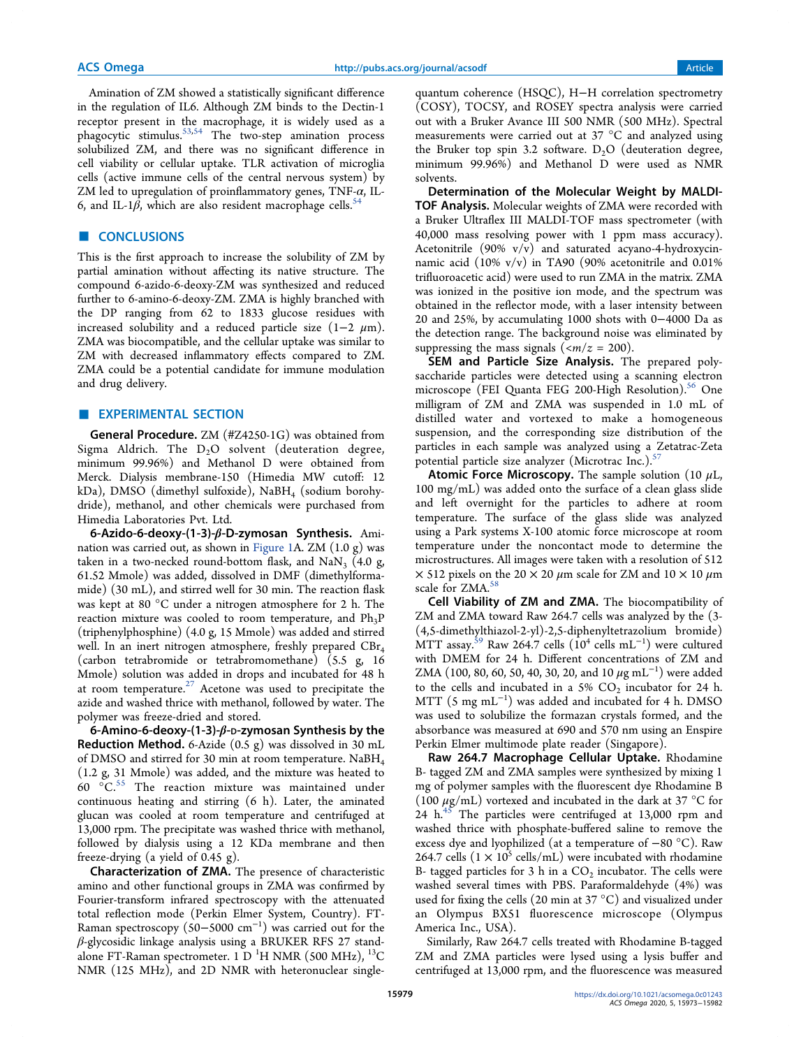Amination of ZM showed a statistically significant difference in the regulation of IL6. Although ZM binds to the Dectin-1 receptor present in the macrophage, it is widely used as a phagocytic stimulus.<sup>53,54</sup> The two-step amination process solubilized ZM, and there was no significant difference in cell viability or cellular uptake. TLR activation of microglia cells (active immune cells of the central nervous system) by ZM led to upregulation of proinflammatory genes, TNF- $\alpha$ , IL-6, and IL-1 $\beta$ , which are also resident macrophage cells.<sup>5</sup>

## ■ **CONCLUSIONS**

This is the first approach to increase the solubility of ZM by partial amination without affecting its native structure. The compound 6-azido-6-deoxy-ZM was synthesized and reduced further to 6-amino-6-deoxy-ZM. ZMA is highly branched with the DP ranging from 62 to 1833 glucose residues with increased solubility and a reduced particle size  $(1-2 \mu m)$ . ZMA was biocompatible, and the cellular uptake was similar to ZM with decreased inflammatory effects compared to ZM. ZMA could be a potential candidate for immune modulation and drug delivery.

## **EXPERIMENTAL SECTION**

General Procedure. ZM (#Z4250-1G) was obtained from Sigma Aldrich. The  $D_2O$  solvent (deuteration degree, minimum 99.96%) and Methanol D were obtained from Merck. Dialysis membrane-150 (Himedia MW cutoff: 12 kDa), DMSO (dimethyl sulfoxide), NaBH<sub>4</sub> (sodium borohydride), methanol, and other chemicals were purchased from Himedia Laboratories Pvt. Ltd.

6-Azido-6-deoxy-(1-3)-β-D-zymosan Synthesis. Amination was carried out, as shown in Figure 1A. ZM  $(1.0 g)$  was taken in a two-necked round-bottom flask, and  $\text{NaN}_3$  (4.0 g, 61.52 Mmole) was added, dissolved in DMF (dimethylformamide) (30 mL), and stirred well for 30 min. The reaction flask was kept at 80 °C under a nitrogen atmosphere for 2 h. The reaction mixture was cooled to room temperature, and  $Ph_3P$ (triphenylphosphine) (4.0 g, 15 Mmole) was added and stirred well. In an inert nitrogen atmosphere, freshly prepared CBr<sub>4</sub> (carbon tetrabromide or tetrabromomethane) (5.5 g, 16 Mmole) solution was added in drops and incubated for 48 h at room temperature.<sup>27</sup> Acetone was used to precipitate the azide and washed thrice with methanol, followed by water. The polymer was freeze-dried and stored.

6-Amino-6-deoxy-(1-3)- $β$ -D-zymosan Synthesis by the Reduction Method. 6-Azide (0.5 g) was dissolved in 30 mL of DMSO and stirred for 30 min at room temperature. NaBH<sup>4</sup> (1.2 g, 31 Mmole) was added, and the mixture was heated to  $60\degree$   $\degree$ C.<sup>55</sup> The reaction mixture was maintained under continuous heating and stirring (6 h). Later, the aminated glucan was cooled at room temperature and centrifuged at 13,000 rpm. The precipitate was washed thrice with methanol, followed by dialysis using a 12 KDa membrane and then freeze-drying (a yield of 0.45 g).

Characterization of ZMA. The presence of characteristic amino and other functional groups in ZMA was confirmed by Fourier-transform infrared spectroscopy with the attenuated total reflection mode (Perkin Elmer System, Country). FT-Raman spectroscopy (50−5000 cm<sup>−</sup><sup>1</sup> ) was carried out for the β-glycosidic linkage analysis using a BRUKER RFS 27 standalone FT-Raman spectrometer. 1 D<sup>1</sup>H NMR (500 MHz), <sup>13</sup>C NMR (125 MHz), and 2D NMR with heteronuclear single-

quantum coherence (HSQC), H-H correlation spectrometry (COSY), TOCSY, and ROSEY spectra analysis were carried out with a Bruker Avance III 500 NMR (500 MHz). Spectral measurements were carried out at 37 °C and analyzed using the Bruker top spin 3.2 software.  $D_2O$  (deuteration degree, minimum 99.96%) and Methanol D were used as NMR solvents.

Determination of the Molecular Weight by MALDI-TOF Analysis. Molecular weights of ZMA were recorded with a Bruker Ultraflex III MALDI-TOF mass spectrometer (with 40,000 mass resolving power with 1 ppm mass accuracy). Acetonitrile  $(90\% \text{ v/v})$  and saturated acyano-4-hydroxycinnamic acid (10% v/v) in TA90 (90% acetonitrile and 0.01% trifluoroacetic acid) were used to run ZMA in the matrix. ZMA was ionized in the positive ion mode, and the spectrum was obtained in the reflector mode, with a laser intensity between 20 and 25%, by accumulating 1000 shots with 0−4000 Da as the detection range. The background noise was eliminated by suppressing the mass signals ( $\langle m/z = 200 \rangle$ .

SEM and Particle Size Analysis. The prepared polysaccharide particles were detected using a scanning electron microscope (FEI Quanta FEG 200-High Resolution).<sup>56</sup> One milligram of ZM and ZMA was suspended in 1.0 mL of distilled water and vortexed to make a homogeneous suspension, and the corresponding size distribution of the particles in each sample was analyzed using a Zetatrac-Zeta potential particle size analyzer (Microtrac Inc.). $\frac{5}{5}$ 

**Atomic Force Microscopy.** The sample solution (10  $\mu$ L, 100 mg/mL) was added onto the surface of a clean glass slide and left overnight for the particles to adhere at room temperature. The surface of the glass slide was analyzed using a Park systems X-100 atomic force microscope at room temperature under the noncontact mode to determine the microstructures. All images were taken with a resolution of 512  $\times$  512 pixels on the 20  $\times$  20  $\mu$ m scale for ZM and 10  $\times$  10  $\mu$ m scale for ZMA.<sup>58</sup>

Cell Viability of ZM and ZMA. The biocompatibility of ZM and ZMA toward Raw 264.7 cells was analyzed by the (3- (4,5-dimethylthiazol-2-yl)-2,5-diphenyltetrazolium bromide)  $\rm{MTT}$  assay.<sup>59</sup> Raw 264.7 cells ( $\rm{10^4}$  cells  $\rm{mL^{-1}}$ ) were cultured with DMEM for 24 h. Different concentrations of ZM and ZMA (100, 80, 60, 50, 40, 30, 20, and 10  $\mu$ g mL<sup>-1</sup>) were added to the cells and incubated in a  $5\%$  CO<sub>2</sub> incubator for 24 h. MTT (5 mg mL<sup>−</sup><sup>1</sup> ) was added and incubated for 4 h. DMSO was used to solubilize the formazan crystals formed, and the absorbance was measured at 690 and 570 nm using an Enspire Perkin Elmer multimode plate reader (Singapore).

Raw 264.7 Macrophage Cellular Uptake. Rhodamine B- tagged ZM and ZMA samples were synthesized by mixing 1 mg of polymer samples with the fluorescent dye Rhodamine B (100  $\mu$ g/mL) vortexed and incubated in the dark at 37 °C for 24  $h^{45}$  The particles were centrifuged at 13,000 rpm and washed thrice with phosphate-buffered saline to remove the excess dye and lyophilized (at a temperature of −80 °C). Raw 264.7 cells  $(1 \times 10^5 \text{ cells/mL})$  were incubated with rhodamine B- tagged particles for 3 h in a  $\mathrm{CO}_2$  incubator. The cells were washed several times with PBS. Paraformaldehyde (4%) was used for fixing the cells (20 min at 37 °C) and visualized under an Olympus BX51 fluorescence microscope (Olympus America Inc., USA).

Similarly, Raw 264.7 cells treated with Rhodamine B-tagged ZM and ZMA particles were lysed using a lysis buffer and centrifuged at 13,000 rpm, and the fluorescence was measured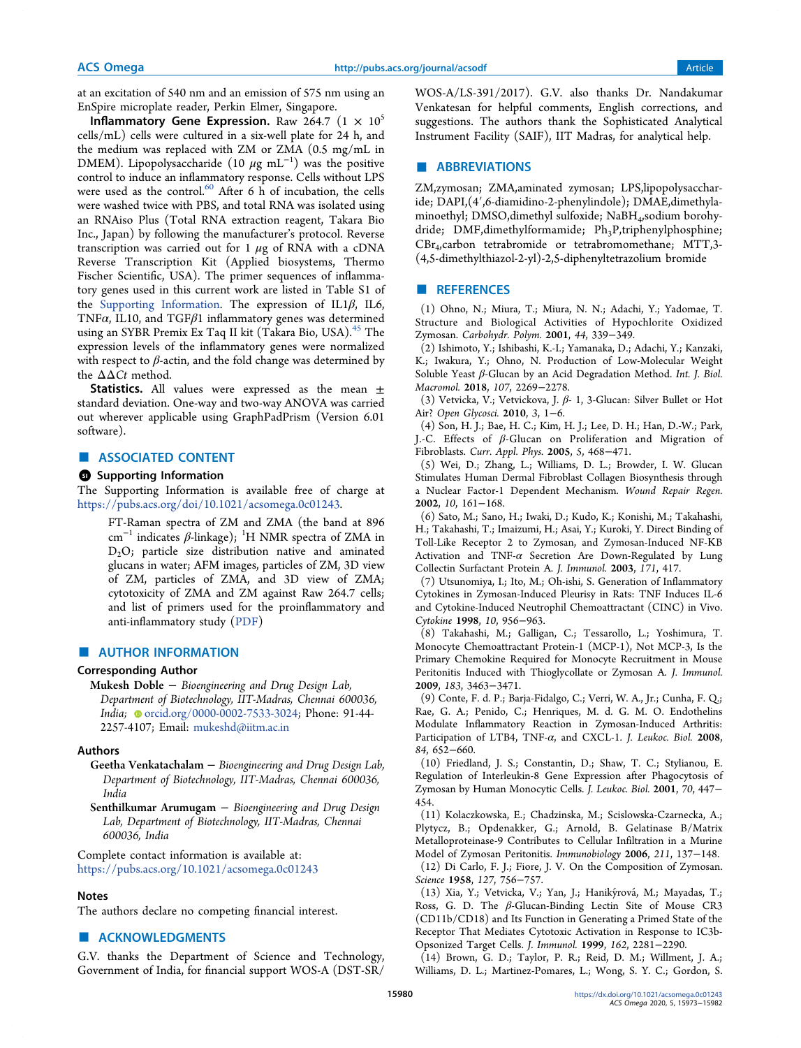at an excitation of 540 nm and an emission of 575 nm using an EnSpire microplate reader, Perkin Elmer, Singapore.

Inflammatory Gene Expression. Raw 264.7  $(1 \times 10^5$ cells/mL) cells were cultured in a six-well plate for 24 h, and the medium was replaced with ZM or ZMA (0.5 mg/mL in DMEM). Lipopolysaccharide (10  $\mu$ g mL<sup>-1</sup>) was the positive control to induce an inflammatory response. Cells without LPS were used as the control.<sup>60</sup> After 6 h of incubation, the cells were washed twice with PBS, and total RNA was isolated using an RNAiso Plus (Total RNA extraction reagent, Takara Bio Inc., Japan) by following the manufacturer's protocol. Reverse transcription was carried out for  $1 \mu$ g of RNA with a cDNA Reverse Transcription Kit (Applied biosystems, Thermo Fischer Scientific, USA). The primer sequences of inflammatory genes used in this current work are listed in Table S1 of the Supporting Information. The expression of IL1 $\beta$ , IL6, TNF $\alpha$ , IL10, and TGF $\beta$ 1 inflammatory genes was determined using an SYBR Premix Ex Taq II kit (Takara Bio, USA).<sup>45</sup> The expression levels of the inflammatory genes were normalized with respect to  $\beta$ -actin, and the fold change was determined by the  $\Delta\Delta C t$  method.

**Statistics.** All values were expressed as the mean  $\pm$ standard deviation. One-way and two-way ANOVA was carried out wherever applicable using GraphPadPrism (Version 6.01 software).

## ■ ASSOCIATED CONTENT

#### **9** Supporting Information

The Supporting Information is available free of charge at https://pubs.acs.org/doi/10.1021/acsomega.0c01243.

FT-Raman spectra of ZM and ZMA (the band at 896 cm<sup>-1</sup> indicates β-linkage); <sup>1</sup>H NMR spectra of ZMA in  $D<sub>2</sub>O$ ; particle size distribution native and aminated glucans in water; AFM images, particles of ZM, 3D view of ZM, particles of ZMA, and 3D view of ZMA; cytotoxicity of ZMA and ZM against Raw 264.7 cells; and list of primers used for the proinflammatory and anti-inflammatory study (PDF)

#### ■ AUTHOR INFORMATION

#### Corresponding Author

Mukesh Doble − Bioengineering and Drug Design Lab, Department of Biotechnology, IIT-Madras, Chennai 600036, India; orcid.org/0000-0002-7533-3024; Phone: 91-44-2257-4107; Email: mukeshd@iitm.ac.in

#### Authors

Geetha Venkatachalam – Bioengineering and Drug Design Lab, Department of Biotechnology, IIT-Madras, Chennai 600036, India

Senthilkumar Arumugam – Bioengineering and Drug Design Lab, Department of Biotechnology, IIT-Madras, Chennai 600036, India

Complete contact information is available at: https://pubs.acs.org/10.1021/acsomega.0c01243

#### Notes

The authors declare no competing financial interest.

# ■ ACKNOWLEDGMENTS

G.V. thanks the Department of Science and Technology, Government of India, for financial support WOS-A (DST-SR/ WOS-A/LS-391/2017). G.V. also thanks Dr. Nandakumar Venkatesan for helpful comments, English corrections, and suggestions. The authors thank the Sophisticated Analytical Instrument Facility (SAIF), IIT Madras, for analytical help.

## ■ ABBREVIATIONS

ZM,zymosan; ZMA,aminated zymosan; LPS,lipopolysaccharide; DAPI,(4′,6-diamidino-2-phenylindole); DMAE,dimethylaminoethyl; DMSO,dimethyl sulfoxide; NaBH<sup>4</sup> ,sodium borohydride; DMF, dimethylformamide; Ph<sub>3</sub>P, triphenylphosphine; CBr<sup>4</sup> ,carbon tetrabromide or tetrabromomethane; MTT,3- (4,5-dimethylthiazol-2-yl)-2,5-diphenyltetrazolium bromide

## ■ REFERENCES

(1) Ohno, N.; Miura, T.; Miura, N. N.; Adachi, Y.; Yadomae, T. Structure and Biological Activities of Hypochlorite Oxidized Zymosan. Carbohydr. Polym. 2001, 44, 339−349.

(2) Ishimoto, Y.; Ishibashi, K.-I.; Yamanaka, D.; Adachi, Y.; Kanzaki, K.; Iwakura, Y.; Ohno, N. Production of Low-Molecular Weight Soluble Yeast β-Glucan by an Acid Degradation Method. Int. J. Biol. Macromol. 2018, 107, 2269−2278.

(3) Vetvicka, V.; Vetvickova, J. β- 1, 3-Glucan: Silver Bullet or Hot Air? Open Glycosci. 2010, 3, 1−6.

(4) Son, H. J.; Bae, H. C.; Kim, H. J.; Lee, D. H.; Han, D.-W.; Park, J.-C. Effects of β-Glucan on Proliferation and Migration of Fibroblasts. Curr. Appl. Phys. 2005, 5, 468−471.

(5) Wei, D.; Zhang, L.; Williams, D. L.; Browder, I. W. Glucan Stimulates Human Dermal Fibroblast Collagen Biosynthesis through a Nuclear Factor-1 Dependent Mechanism. Wound Repair Regen. 2002, 10, 161−168.

(6) Sato, M.; Sano, H.; Iwaki, D.; Kudo, K.; Konishi, M.; Takahashi, H.; Takahashi, T.; Imaizumi, H.; Asai, Y.; Kuroki, Y. Direct Binding of Toll-Like Receptor 2 to Zymosan, and Zymosan-Induced NF-ΚB Activation and TNF-α Secretion Are Down-Regulated by Lung Collectin Surfactant Protein A. J. Immunol. 2003, 171, 417.

(7) Utsunomiya, I.; Ito, M.; Oh-ishi, S. Generation of Inflammatory Cytokines in Zymosan-Induced Pleurisy in Rats: TNF Induces IL-6 and Cytokine-Induced Neutrophil Chemoattractant (CINC) in Vivo. Cytokine 1998, 10, 956−963.

(8) Takahashi, M.; Galligan, C.; Tessarollo, L.; Yoshimura, T. Monocyte Chemoattractant Protein-1 (MCP-1), Not MCP-3, Is the Primary Chemokine Required for Monocyte Recruitment in Mouse Peritonitis Induced with Thioglycollate or Zymosan A. J. Immunol. 2009, 183, 3463−3471.

(9) Conte, F. d. P.; Barja-Fidalgo, C.; Verri, W. A., Jr.; Cunha, F. Q.; Rae, G. A.; Penido, C.; Henriques, M. d. G. M. O. Endothelins Modulate Inflammatory Reaction in Zymosan-Induced Arthritis: Participation of LTB4, TNF-α, and CXCL-1. J. Leukoc. Biol. 2008, 84, 652−660.

(10) Friedland, J. S.; Constantin, D.; Shaw, T. C.; Stylianou, E. Regulation of Interleukin-8 Gene Expression after Phagocytosis of Zymosan by Human Monocytic Cells. J. Leukoc. Biol. 2001, 70, 447− 454.

(11) Kolaczkowska, E.; Chadzinska, M.; Scislowska-Czarnecka, A.; Plytycz, B.; Opdenakker, G.; Arnold, B. Gelatinase B/Matrix Metalloproteinase-9 Contributes to Cellular Infiltration in a Murine Model of Zymosan Peritonitis. Immunobiology 2006, 211, 137−148. (12) Di Carlo, F. J.; Fiore, J. V. On the Composition of Zymosan.

Science 1958, 127, 756−757.

(13) Xia, Y.; Vetvicka, V.; Yan, J.; Hanikýrová, M.; Mayadas, T.; Ross, G. D. The β-Glucan-Binding Lectin Site of Mouse CR3 (CD11b/CD18) and Its Function in Generating a Primed State of the Receptor That Mediates Cytotoxic Activation in Response to IC3b-Opsonized Target Cells. J. Immunol. 1999, 162, 2281−2290.

(14) Brown, G. D.; Taylor, P. R.; Reid, D. M.; Willment, J. A.; Williams, D. L.; Martinez-Pomares, L.; Wong, S. Y. C.; Gordon, S.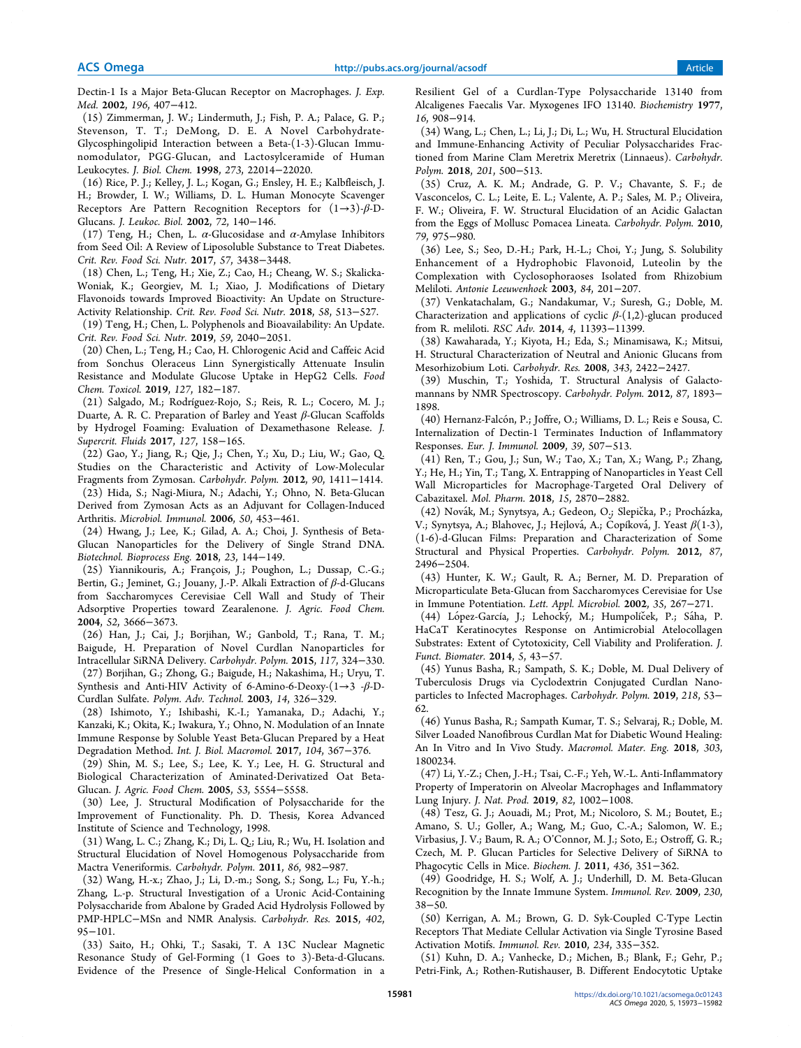Dectin-1 Is a Major Beta-Glucan Receptor on Macrophages. J. Exp. Med. 2002, 196, 407−412.

(15) Zimmerman, J. W.; Lindermuth, J.; Fish, P. A.; Palace, G. P.; Stevenson, T. T.; DeMong, D. E. A Novel Carbohydrate-Glycosphingolipid Interaction between a Beta-(1-3)-Glucan Immunomodulator, PGG-Glucan, and Lactosylceramide of Human Leukocytes. J. Biol. Chem. 1998, 273, 22014−22020.

(16) Rice, P. J.; Kelley, J. L.; Kogan, G.; Ensley, H. E.; Kalbfleisch, J. H.; Browder, I. W.; Williams, D. L. Human Monocyte Scavenger Receptors Are Pattern Recognition Receptors for  $(1\rightarrow3)$ - $\beta$ -D-Glucans. J. Leukoc. Biol. 2002, 72, 140−146.

(17) Teng, H.; Chen, L.  $\alpha$ -Glucosidase and  $\alpha$ -Amylase Inhibitors from Seed Oil: A Review of Liposoluble Substance to Treat Diabetes. Crit. Rev. Food Sci. Nutr. 2017, 57, 3438−3448.

(18) Chen, L.; Teng, H.; Xie, Z.; Cao, H.; Cheang, W. S.; Skalicka-Woniak, K.; Georgiev, M. I.; Xiao, J. Modifications of Dietary Flavonoids towards Improved Bioactivity: An Update on Structure-Activity Relationship. Crit. Rev. Food Sci. Nutr. 2018, 58, 513−527.

(19) Teng, H.; Chen, L. Polyphenols and Bioavailability: An Update. Crit. Rev. Food Sci. Nutr. 2019, 59, 2040−2051.

(20) Chen, L.; Teng, H.; Cao, H. Chlorogenic Acid and Caffeic Acid from Sonchus Oleraceus Linn Synergistically Attenuate Insulin Resistance and Modulate Glucose Uptake in HepG2 Cells. Food Chem. Toxicol. 2019, 127, 182−187.

(21) Salgado, M.; Rodríguez-Rojo, S.; Reis, R. L.; Cocero, M. J.; Duarte, A. R. C. Preparation of Barley and Yeast β-Glucan Scaffolds by Hydrogel Foaming: Evaluation of Dexamethasone Release. J. Supercrit. Fluids 2017, 127, 158−165.

(22) Gao, Y.; Jiang, R.; Qie, J.; Chen, Y.; Xu, D.; Liu, W.; Gao, Q. Studies on the Characteristic and Activity of Low-Molecular Fragments from Zymosan. Carbohydr. Polym. 2012, 90, 1411−1414. (23) Hida, S.; Nagi-Miura, N.; Adachi, Y.; Ohno, N. Beta-Glucan Derived from Zymosan Acts as an Adjuvant for Collagen-Induced Arthritis. Microbiol. Immunol. 2006, 50, 453−461.

(24) Hwang, J.; Lee, K.; Gilad, A. A.; Choi, J. Synthesis of Beta-Glucan Nanoparticles for the Delivery of Single Strand DNA. Biotechnol. Bioprocess Eng. 2018, 23, 144−149.

(25) Yiannikouris, A.; Francois, J.; Poughon, L.; Dussap, C.-G.; ̧ Bertin, G.; Jeminet, G.; Jouany, J.-P. Alkali Extraction of β-d-Glucans from Saccharomyces Cerevisiae Cell Wall and Study of Their Adsorptive Properties toward Zearalenone. J. Agric. Food Chem. 2004, 52, 3666−3673.

(26) Han, J.; Cai, J.; Borjihan, W.; Ganbold, T.; Rana, T. M.; Baigude, H. Preparation of Novel Curdlan Nanoparticles for Intracellular SiRNA Delivery. Carbohydr. Polym. 2015, 117, 324−330. (27) Borjihan, G.; Zhong, G.; Baigude, H.; Nakashima, H.; Uryu, T.

Synthesis and Anti-HIV Activity of 6-Amino-6-Deoxy- $(1\rightarrow 3$  - $\beta$ -D-Curdlan Sulfate. Polym. Adv. Technol. 2003, 14, 326−329.

(28) Ishimoto, Y.; Ishibashi, K.-I.; Yamanaka, D.; Adachi, Y.; Kanzaki, K.; Okita, K.; Iwakura, Y.; Ohno, N. Modulation of an Innate Immune Response by Soluble Yeast Beta-Glucan Prepared by a Heat Degradation Method. Int. J. Biol. Macromol. 2017, 104, 367−376.

(29) Shin, M. S.; Lee, S.; Lee, K. Y.; Lee, H. G. Structural and Biological Characterization of Aminated-Derivatized Oat Beta-Glucan. J. Agric. Food Chem. 2005, 53, 5554−5558.

(30) Lee, J. Structural Modification of Polysaccharide for the Improvement of Functionality. Ph. D. Thesis, Korea Advanced Institute of Science and Technology, 1998.

(31) Wang, L. C.; Zhang, K.; Di, L. Q.; Liu, R.; Wu, H. Isolation and Structural Elucidation of Novel Homogenous Polysaccharide from Mactra Veneriformis. Carbohydr. Polym. 2011, 86, 982−987.

(32) Wang, H.-x.; Zhao, J.; Li, D.-m.; Song, S.; Song, L.; Fu, Y.-h.; Zhang, L.-p. Structural Investigation of a Uronic Acid-Containing Polysaccharide from Abalone by Graded Acid Hydrolysis Followed by PMP-HPLC−MSn and NMR Analysis. Carbohydr. Res. 2015, 402, 95−101.

(33) Saito, H.; Ohki, T.; Sasaki, T. A 13C Nuclear Magnetic Resonance Study of Gel-Forming (1 Goes to 3)-Beta-d-Glucans. Evidence of the Presence of Single-Helical Conformation in a

Resilient Gel of a Curdlan-Type Polysaccharide 13140 from Alcaligenes Faecalis Var. Myxogenes IFO 13140. Biochemistry 1977, 16, 908−914.

(34) Wang, L.; Chen, L.; Li, J.; Di, L.; Wu, H. Structural Elucidation and Immune-Enhancing Activity of Peculiar Polysaccharides Fractioned from Marine Clam Meretrix Meretrix (Linnaeus). Carbohydr. Polym. 2018, 201, 500−513.

(35) Cruz, A. K. M.; Andrade, G. P. V.; Chavante, S. F.; de Vasconcelos, C. L.; Leite, E. L.; Valente, A. P.; Sales, M. P.; Oliveira, F. W.; Oliveira, F. W. Structural Elucidation of an Acidic Galactan from the Eggs of Mollusc Pomacea Lineata. Carbohydr. Polym. 2010, 79, 975−980.

(36) Lee, S.; Seo, D.-H.; Park, H.-L.; Choi, Y.; Jung, S. Solubility Enhancement of a Hydrophobic Flavonoid, Luteolin by the Complexation with Cyclosophoraoses Isolated from Rhizobium Meliloti. Antonie Leeuwenhoek 2003, 84, 201−207.

(37) Venkatachalam, G.; Nandakumar, V.; Suresh, G.; Doble, M. Characterization and applications of cyclic  $\beta$ -(1,2)-glucan produced from R. meliloti. RSC Adv. 2014, 4, 11393−11399.

(38) Kawaharada, Y.; Kiyota, H.; Eda, S.; Minamisawa, K.; Mitsui, H. Structural Characterization of Neutral and Anionic Glucans from Mesorhizobium Loti. Carbohydr. Res. 2008, 343, 2422−2427.

(39) Muschin, T.; Yoshida, T. Structural Analysis of Galactomannans by NMR Spectroscopy. Carbohydr. Polym. 2012, 87, 1893− 1898.

(40) Hernanz-Falcón, P.; Joffre, O.; Williams, D. L.; Reis e Sousa, C. Internalization of Dectin-1 Terminates Induction of Inflammatory Responses. Eur. J. Immunol. 2009, 39, 507−513.

(41) Ren, T.; Gou, J.; Sun, W.; Tao, X.; Tan, X.; Wang, P.; Zhang, Y.; He, H.; Yin, T.; Tang, X. Entrapping of Nanoparticles in Yeast Cell Wall Microparticles for Macrophage-Targeted Oral Delivery of Cabazitaxel. Mol. Pharm. 2018, 15, 2870−2882.

(42) Novák, M.; Synytsya, A.; Gedeon, O.; Slepička, P.; Procházka, V.; Synytsya, A.; Blahovec, J.; Hejlová, A.; Čopíková, J. Yeast  $\beta(1\text{-}3)$ , (1-6)-d-Glucan Films: Preparation and Characterization of Some Structural and Physical Properties. Carbohydr. Polym. 2012, 87, 2496−2504.

(43) Hunter, K. W.; Gault, R. A.; Berner, M. D. Preparation of Microparticulate Beta-Glucan from Saccharomyces Cerevisiae for Use in Immune Potentiation. Lett. Appl. Microbiol. 2002, 35, 267−271.

(44) López-García, J.; Lehocký, M.; Humpolíček, P.; Sáha, P. HaCaT Keratinocytes Response on Antimicrobial Atelocollagen Substrates: Extent of Cytotoxicity, Cell Viability and Proliferation. J. Funct. Biomater. 2014, 5, 43−57.

(45) Yunus Basha, R.; Sampath, S. K.; Doble, M. Dual Delivery of Tuberculosis Drugs via Cyclodextrin Conjugated Curdlan Nanoparticles to Infected Macrophages. Carbohydr. Polym. 2019, 218, 53− 62.

(46) Yunus Basha, R.; Sampath Kumar, T. S.; Selvaraj, R.; Doble, M. Silver Loaded Nanofibrous Curdlan Mat for Diabetic Wound Healing: An In Vitro and In Vivo Study. Macromol. Mater. Eng. 2018, 303, 1800234.

(47) Li, Y.-Z.; Chen, J.-H.; Tsai, C.-F.; Yeh, W.-L. Anti-Inflammatory Property of Imperatorin on Alveolar Macrophages and Inflammatory Lung Injury. J. Nat. Prod. 2019, 82, 1002−1008.

(48) Tesz, G. J.; Aouadi, M.; Prot, M.; Nicoloro, S. M.; Boutet, E.; Amano, S. U.; Goller, A.; Wang, M.; Guo, C.-A.; Salomon, W. E.; Virbasius, J. V.; Baum, R. A.; O'Connor, M. J.; Soto, E.; Ostroff, G. R.; Czech, M. P. Glucan Particles for Selective Delivery of SiRNA to Phagocytic Cells in Mice. Biochem. J. 2011, 436, 351−362.

(49) Goodridge, H. S.; Wolf, A. J.; Underhill, D. M. Beta-Glucan Recognition by the Innate Immune System. Immunol. Rev. 2009, 230, 38−50.

(50) Kerrigan, A. M.; Brown, G. D. Syk-Coupled C-Type Lectin Receptors That Mediate Cellular Activation via Single Tyrosine Based Activation Motifs. Immunol. Rev. 2010, 234, 335−352.

(51) Kuhn, D. A.; Vanhecke, D.; Michen, B.; Blank, F.; Gehr, P.; Petri-Fink, A.; Rothen-Rutishauser, B. Different Endocytotic Uptake